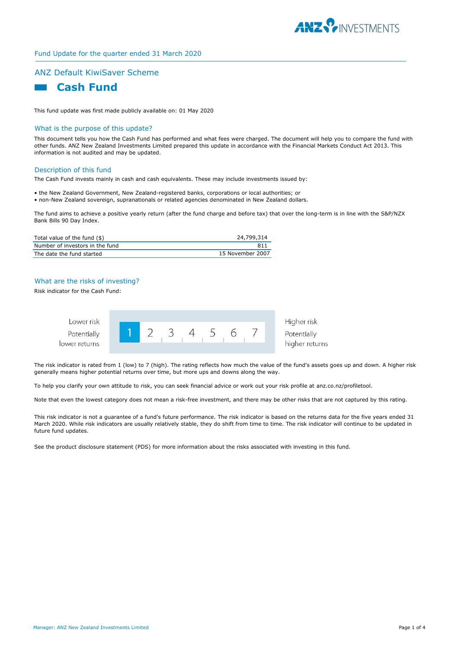

# Fund Update for the quarter ended 31 March 2020

# ANZ Default KiwiSaver Scheme



This fund update was first made publicly available on: 01 May 2020

## What is the purpose of this update?

This document tells you how the Cash Fund has performed and what fees were charged. The document will help you to compare the fund with other funds. ANZ New Zealand Investments Limited prepared this update in accordance with the Financial Markets Conduct Act 2013. This information is not audited and may be updated.

### Description of this fund

The Cash Fund invests mainly in cash and cash equivalents. These may include investments issued by:

• the New Zealand Government, New Zealand-registered banks, corporations or local authorities; or • non-New Zealand sovereign, supranationals or related agencies denominated in New Zealand dollars.

The fund aims to achieve a positive yearly return (after the fund charge and before tax) that over the long-term is in line with the S&P/NZX Bank Bills 90 Day Index.

| Total value of the fund $(\$)$  | 24,799,314       |
|---------------------------------|------------------|
| Number of investors in the fund | 811              |
| The date the fund started       | 15 November 2007 |

# What are the risks of investing?

Risk indicator for the Cash Fund:



The risk indicator is rated from 1 (low) to 7 (high). The rating reflects how much the value of the fund's assets goes up and down. A higher risk generally means higher potential returns over time, but more ups and downs along the way.

To help you clarify your own attitude to risk, you can seek financial advice or work out your risk profile at anz.co.nz/profiletool.

Note that even the lowest category does not mean a risk-free investment, and there may be other risks that are not captured by this rating.

This risk indicator is not a guarantee of a fund's future performance. The risk indicator is based on the returns data for the five years ended 31 March 2020. While risk indicators are usually relatively stable, they do shift from time to time. The risk indicator will continue to be updated in future fund updates.

See the product disclosure statement (PDS) for more information about the risks associated with investing in this fund.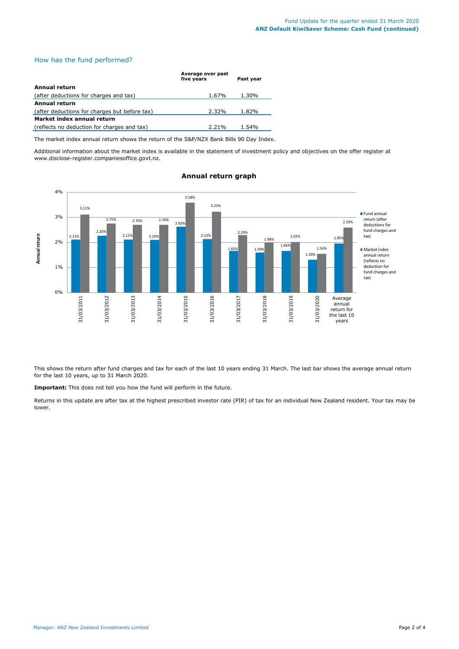# How has the fund performed?

|                                               | Average over past<br>five vears | Past year |
|-----------------------------------------------|---------------------------------|-----------|
| Annual return                                 |                                 |           |
| (after deductions for charges and tax)        | 1.67%                           | 1.30%     |
| <b>Annual return</b>                          |                                 |           |
| (after deductions for charges but before tax) | 2.32%                           | 1.82%     |
| Market index annual return                    |                                 |           |
| (reflects no deduction for charges and tax)   | 2.21%                           | 1.54%     |

The market index annual return shows the return of the S&P/NZX Bank Bills 90 Day Index.

Additional information about the market index is available in the statement of investment policy and objectives on the offer register at www.disclose-register.companiesoffice.govt.nz.



# **Annual return graph**

This shows the return after fund charges and tax for each of the last 10 years ending 31 March. The last bar shows the average annual return for the last 10 years, up to 31 March 2020.

**Important:** This does not tell you how the fund will perform in the future.

Returns in this update are after tax at the highest prescribed investor rate (PIR) of tax for an individual New Zealand resident. Your tax may be lower.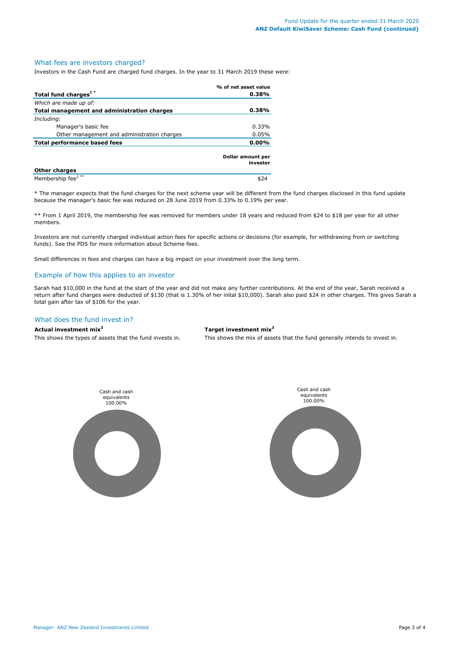### What fees are investors charged?

Investors in the Cash Fund are charged fund charges. In the year to 31 March 2019 these were:

|                                             | % of net asset value          |  |
|---------------------------------------------|-------------------------------|--|
| Total fund charges <sup>1*</sup>            | 0.38%                         |  |
| Which are made up of:                       |                               |  |
| Total management and administration charges | 0.38%                         |  |
| Including:                                  |                               |  |
| Manager's basic fee                         | 0.33%                         |  |
| Other management and administration charges | 0.05%                         |  |
| Total performance based fees                | $0.00\%$                      |  |
|                                             | Dollar amount per<br>investor |  |
| <b>Other charges</b>                        |                               |  |
| Membership fee <sup>2**</sup>               | \$24                          |  |

\* The manager expects that the fund charges for the next scheme year will be different from the fund charges disclosed in this fund update because the manager's basic fee was reduced on 28 June 2019 from 0.33% to 0.19% per year.

\*\* From 1 April 2019, the membership fee was removed for members under 18 years and reduced from \$24 to \$18 per year for all other members.

Investors are not currently charged individual action fees for specific actions or decisions (for example, for withdrawing from or switching funds). See the PDS for more information about Scheme fees.

Small differences in fees and charges can have a big impact on your investment over the long term.

## Example of how this applies to an investor

Sarah had \$10,000 in the fund at the start of the year and did not make any further contributions. At the end of the year, Sarah received a return after fund charges were deducted of \$130 (that is 1.30% of her inital \$10,000). Sarah also paid \$24 in other charges. This gives Sarah a total gain after tax of \$106 for the year.

# What does the fund invest in?

### **Actual investment mix<sup>3</sup> Target investment mix<sup>3</sup>**

This shows the types of assets that the fund invests in. This shows the mix of assets that the fund generally intends to invest in.